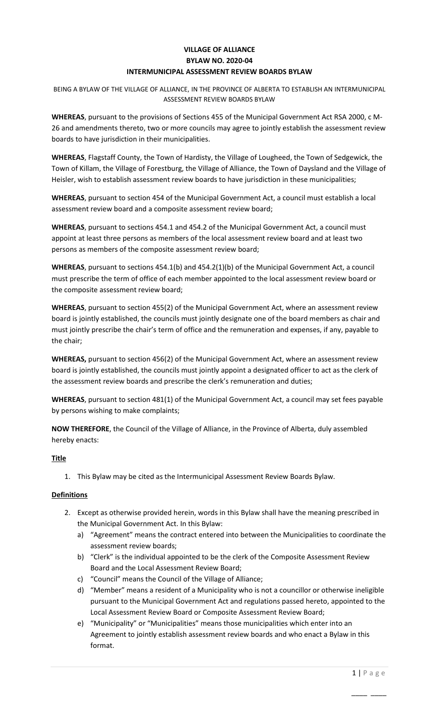# **VILLAGE OF ALLIANCE BYLAW NO. 2020-04 INTERMUNICIPAL ASSESSMENT REVIEW BOARDS BYLAW**

BEING A BYLAW OF THE VILLAGE OF ALLIANCE, IN THE PROVINCE OF ALBERTA TO ESTABLISH AN INTERMUNICIPAL ASSESSMENT REVIEW BOARDS BYLAW

**WHEREAS**, pursuant to the provisions of Sections 455 of the Municipal Government Act RSA 2000, c M-26 and amendments thereto, two or more councils may agree to jointly establish the assessment review boards to have jurisdiction in their municipalities.

**WHEREAS**, Flagstaff County, the Town of Hardisty, the Village of Lougheed, the Town of Sedgewick, the Town of Killam, the Village of Forestburg, the Village of Alliance, the Town of Daysland and the Village of Heisler, wish to establish assessment review boards to have jurisdiction in these municipalities;

**WHEREAS**, pursuant to section 454 of the Municipal Government Act, a council must establish a local assessment review board and a composite assessment review board;

**WHEREAS**, pursuant to sections 454.1 and 454.2 of the Municipal Government Act, a council must appoint at least three persons as members of the local assessment review board and at least two persons as members of the composite assessment review board;

**WHEREAS**, pursuant to sections 454.1(b) and 454.2(1)(b) of the Municipal Government Act, a council must prescribe the term of office of each member appointed to the local assessment review board or the composite assessment review board;

**WHEREAS**, pursuant to section 455(2) of the Municipal Government Act, where an assessment review board is jointly established, the councils must jointly designate one of the board members as chair and must jointly prescribe the chair's term of office and the remuneration and expenses, if any, payable to the chair;

**WHEREAS,** pursuant to section 456(2) of the Municipal Government Act, where an assessment review board is jointly established, the councils must jointly appoint a designated officer to act as the clerk of the assessment review boards and prescribe the clerk's remuneration and duties;

**WHEREAS**, pursuant to section 481(1) of the Municipal Government Act, a council may set fees payable by persons wishing to make complaints;

**NOW THEREFORE**, the Council of the Village of Alliance, in the Province of Alberta, duly assembled hereby enacts:

## **Title**

1. This Bylaw may be cited as the Intermunicipal Assessment Review Boards Bylaw.

#### **Definitions**

- 2. Except as otherwise provided herein, words in this Bylaw shall have the meaning prescribed in the Municipal Government Act. In this Bylaw:
	- a) "Agreement" means the contract entered into between the Municipalities to coordinate the assessment review boards;
	- b) "Clerk" is the individual appointed to be the clerk of the Composite Assessment Review Board and the Local Assessment Review Board;
	- c) "Council" means the Council of the Village of Alliance;
	- d) "Member" means a resident of a Municipality who is not a councillor or otherwise ineligible pursuant to the Municipal Government Act and regulations passed hereto, appointed to the Local Assessment Review Board or Composite Assessment Review Board;
	- e) "Municipality" or "Municipalities" means those municipalities which enter into an Agreement to jointly establish assessment review boards and who enact a Bylaw in this format.

 $\mathcal{L}_\mathcal{L}$  , we can also the contract of the contract of the contract of the contract of the contract of the contract of the contract of the contract of the contract of the contract of the contract of the contract of

 $1 | P \text{ a ge}$